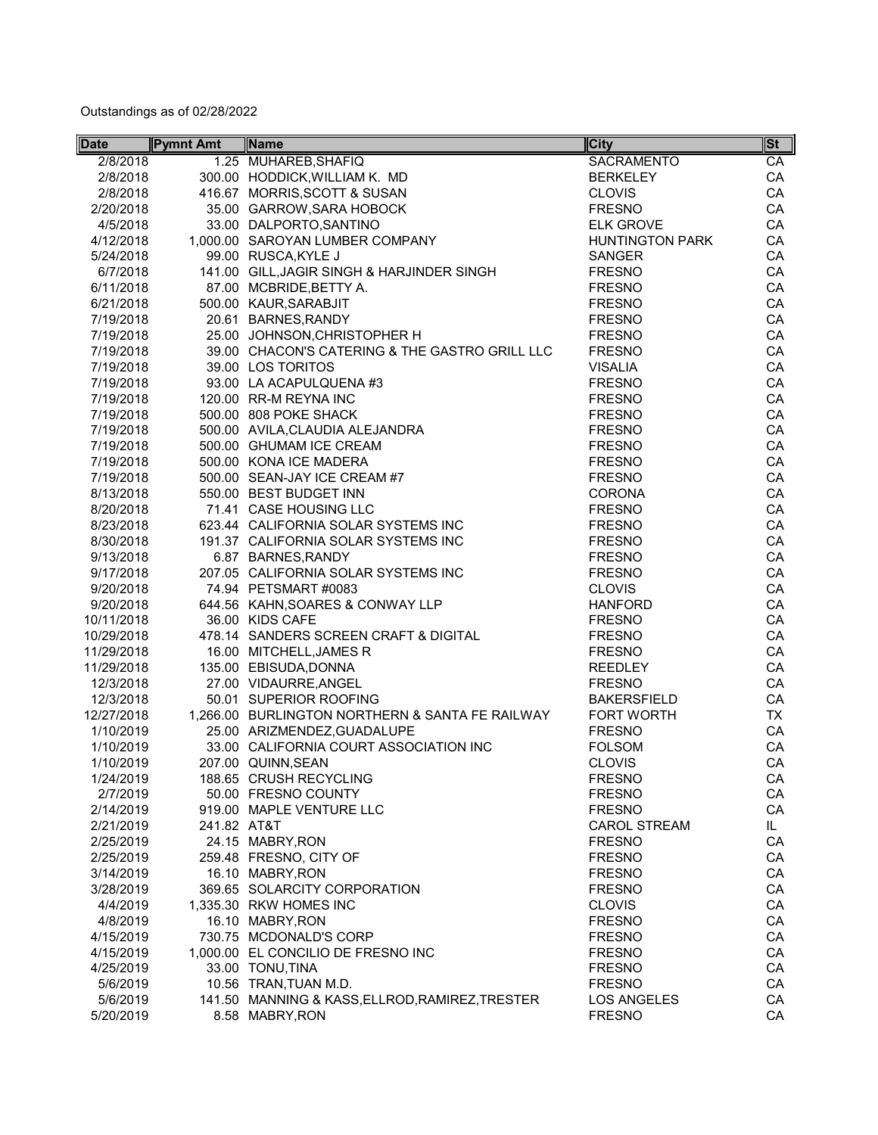| <b>Date</b> | <b>Pymnt Amt</b> | Name                                            | <b>City</b>            | $ \mathsf{St}^- $ |
|-------------|------------------|-------------------------------------------------|------------------------|-------------------|
| 2/8/2018    |                  | 1.25 MUHAREB, SHAFIQ                            | <b>SACRAMENTO</b>      | CA                |
| 2/8/2018    |                  | 300.00 HODDICK, WILLIAM K. MD                   | <b>BERKELEY</b>        | CA                |
| 2/8/2018    |                  | 416.67 MORRIS, SCOTT & SUSAN                    | <b>CLOVIS</b>          | CA                |
| 2/20/2018   |                  | 35.00 GARROW, SARA HOBOCK                       | <b>FRESNO</b>          | CA                |
| 4/5/2018    |                  | 33.00 DALPORTO, SANTINO                         | <b>ELK GROVE</b>       | CA                |
| 4/12/2018   |                  | 1,000.00 SAROYAN LUMBER COMPANY                 | <b>HUNTINGTON PARK</b> | CA                |
| 5/24/2018   |                  | 99.00 RUSCA, KYLE J                             | <b>SANGER</b>          | CA                |
| 6/7/2018    |                  | 141.00 GILL, JAGIR SINGH & HARJINDER SINGH      | <b>FRESNO</b>          | CA                |
| 6/11/2018   |                  | 87.00 MCBRIDE, BETTY A.                         | <b>FRESNO</b>          | CA                |
| 6/21/2018   |                  | 500.00 KAUR, SARABJIT                           | <b>FRESNO</b>          | CA                |
| 7/19/2018   |                  | 20.61 BARNES, RANDY                             | <b>FRESNO</b>          | CA                |
| 7/19/2018   |                  | 25.00 JOHNSON, CHRISTOPHER H                    | <b>FRESNO</b>          | CA                |
| 7/19/2018   |                  | 39.00 CHACON'S CATERING & THE GASTRO GRILL LLC  | <b>FRESNO</b>          | CA                |
| 7/19/2018   |                  | 39.00 LOS TORITOS                               | <b>VISALIA</b>         | CA                |
| 7/19/2018   |                  | 93.00 LA ACAPULQUENA #3                         | <b>FRESNO</b>          | CA                |
| 7/19/2018   |                  | 120.00 RR-M REYNA INC                           | <b>FRESNO</b>          | CA                |
| 7/19/2018   |                  | 500.00 808 POKE SHACK                           | <b>FRESNO</b>          | CA                |
| 7/19/2018   |                  | 500.00 AVILA, CLAUDIA ALEJANDRA                 | <b>FRESNO</b>          | CA                |
| 7/19/2018   |                  | 500.00 GHUMAM ICE CREAM                         | <b>FRESNO</b>          | CA                |
| 7/19/2018   |                  | 500.00 KONA ICE MADERA                          | <b>FRESNO</b>          | CA                |
| 7/19/2018   |                  | 500.00 SEAN-JAY ICE CREAM #7                    | <b>FRESNO</b>          | CA                |
| 8/13/2018   |                  | 550.00 BEST BUDGET INN                          | <b>CORONA</b>          | CA                |
| 8/20/2018   |                  | 71.41 CASE HOUSING LLC                          | <b>FRESNO</b>          | CA                |
| 8/23/2018   |                  | 623.44 CALIFORNIA SOLAR SYSTEMS INC             | <b>FRESNO</b>          | CA                |
| 8/30/2018   |                  | 191.37 CALIFORNIA SOLAR SYSTEMS INC             | <b>FRESNO</b>          | CA                |
| 9/13/2018   |                  | 6.87 BARNES, RANDY                              | <b>FRESNO</b>          | CA                |
| 9/17/2018   |                  | 207.05 CALIFORNIA SOLAR SYSTEMS INC             | <b>FRESNO</b>          | CA                |
| 9/20/2018   |                  | 74.94 PETSMART #0083                            | <b>CLOVIS</b>          | CA                |
| 9/20/2018   |                  | 644.56 KAHN, SOARES & CONWAY LLP                | <b>HANFORD</b>         | CA                |
| 10/11/2018  |                  | 36.00 KIDS CAFE                                 | <b>FRESNO</b>          | CA                |
| 10/29/2018  |                  | 478.14 SANDERS SCREEN CRAFT & DIGITAL           | <b>FRESNO</b>          | CA                |
| 11/29/2018  |                  | 16.00 MITCHELL, JAMES R                         | <b>FRESNO</b>          | CA                |
| 11/29/2018  |                  | 135.00 EBISUDA, DONNA                           | <b>REEDLEY</b>         | CA                |
| 12/3/2018   |                  | 27.00 VIDAURRE, ANGEL                           | <b>FRESNO</b>          | CA                |
| 12/3/2018   |                  | 50.01 SUPERIOR ROOFING                          | <b>BAKERSFIELD</b>     | CA                |
| 12/27/2018  |                  | 1,266.00 BURLINGTON NORTHERN & SANTA FE RAILWAY | <b>FORT WORTH</b>      | <b>TX</b>         |
| 1/10/2019   |                  | 25.00 ARIZMENDEZ, GUADALUPE                     | <b>FRESNO</b>          | CA                |
| 1/10/2019   |                  | 33.00 CALIFORNIA COURT ASSOCIATION INC          | <b>FOLSOM</b>          | CA                |
| 1/10/2019   |                  | 207.00 QUINN, SEAN                              | <b>CLOVIS</b>          | CA                |
| 1/24/2019   |                  | 188.65 CRUSH RECYCLING                          | <b>FRESNO</b>          | CA                |
| 2/7/2019    |                  | 50.00 FRESNO COUNTY                             | <b>FRESNO</b>          | CA                |
| 2/14/2019   |                  | 919.00 MAPLE VENTURE LLC                        | <b>FRESNO</b>          | CA                |
| 2/21/2019   | 241.82 AT&T      |                                                 | <b>CAROL STREAM</b>    | IL.               |
| 2/25/2019   |                  | 24.15 MABRY, RON                                | <b>FRESNO</b>          | CA                |
| 2/25/2019   |                  | 259.48 FRESNO, CITY OF                          | <b>FRESNO</b>          | CA                |
| 3/14/2019   |                  | 16.10 MABRY, RON                                | <b>FRESNO</b>          | CA                |
| 3/28/2019   |                  | 369.65 SOLARCITY CORPORATION                    | <b>FRESNO</b>          | CA                |
| 4/4/2019    |                  | 1,335.30 RKW HOMES INC                          | <b>CLOVIS</b>          | CA                |
| 4/8/2019    |                  | 16.10 MABRY, RON                                | <b>FRESNO</b>          | CA                |
| 4/15/2019   |                  | 730.75 MCDONALD'S CORP                          | <b>FRESNO</b>          | CA                |
| 4/15/2019   |                  | 1,000.00 EL CONCILIO DE FRESNO INC              | <b>FRESNO</b>          | CA                |
| 4/25/2019   |                  | 33.00 TONU, TINA                                | <b>FRESNO</b>          | CA                |
| 5/6/2019    |                  | 10.56 TRAN, TUAN M.D.                           | <b>FRESNO</b>          | CA                |
| 5/6/2019    |                  | 141.50 MANNING & KASS, ELLROD, RAMIREZ, TRESTER | <b>LOS ANGELES</b>     | CA                |
| 5/20/2019   |                  | 8.58 MABRY, RON                                 | <b>FRESNO</b>          | CA                |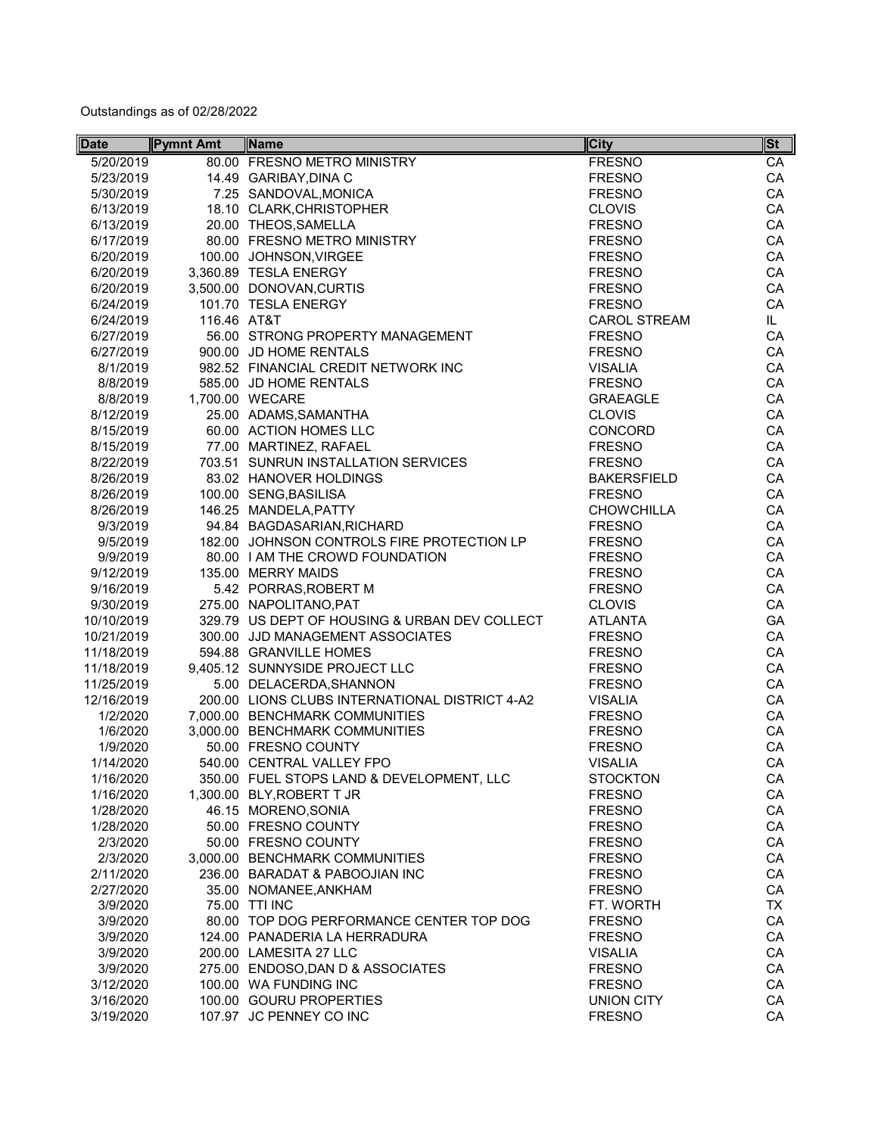| <b>Date</b> | <b>Pymnt Amt</b> | Name                                           | <b>City</b>              | $\left \mathsf{St}\right $ |
|-------------|------------------|------------------------------------------------|--------------------------|----------------------------|
| 5/20/2019   |                  | 80.00 FRESNO METRO MINISTRY                    | <b>FRESNO</b>            | CA                         |
| 5/23/2019   |                  | 14.49 GARIBAY, DINA C                          | <b>FRESNO</b>            | CA                         |
| 5/30/2019   |                  | 7.25 SANDOVAL, MONICA                          | <b>FRESNO</b>            | CA                         |
| 6/13/2019   |                  | 18.10 CLARK, CHRISTOPHER                       | <b>CLOVIS</b>            | CA                         |
| 6/13/2019   |                  | 20.00 THEOS, SAMELLA                           | <b>FRESNO</b>            | CA                         |
| 6/17/2019   |                  | 80.00 FRESNO METRO MINISTRY                    | <b>FRESNO</b>            | CA                         |
| 6/20/2019   |                  | 100.00 JOHNSON, VIRGEE                         | <b>FRESNO</b>            | CA                         |
| 6/20/2019   |                  | 3,360.89 TESLA ENERGY                          | <b>FRESNO</b>            | CA                         |
| 6/20/2019   |                  | 3,500.00 DONOVAN, CURTIS                       | <b>FRESNO</b>            | CA                         |
| 6/24/2019   |                  | 101.70 TESLA ENERGY                            | <b>FRESNO</b>            | CA                         |
| 6/24/2019   | 116.46 AT&T      |                                                | <b>CAROL STREAM</b>      | IL.                        |
| 6/27/2019   |                  | 56.00 STRONG PROPERTY MANAGEMENT               | <b>FRESNO</b>            | CA                         |
| 6/27/2019   |                  | 900.00 JD HOME RENTALS                         | <b>FRESNO</b>            | CA                         |
| 8/1/2019    |                  | 982.52 FINANCIAL CREDIT NETWORK INC            | <b>VISALIA</b>           | CA                         |
| 8/8/2019    |                  | 585.00 JD HOME RENTALS                         | <b>FRESNO</b>            | CA                         |
| 8/8/2019    |                  | 1,700.00 WECARE                                | <b>GRAEAGLE</b>          | CA                         |
| 8/12/2019   |                  | 25.00 ADAMS, SAMANTHA                          | <b>CLOVIS</b>            | CA                         |
|             |                  |                                                |                          |                            |
| 8/15/2019   |                  | 60.00 ACTION HOMES LLC                         | CONCORD<br><b>FRESNO</b> | CA                         |
| 8/15/2019   |                  | 77.00 MARTINEZ, RAFAEL                         |                          | CA                         |
| 8/22/2019   |                  | 703.51 SUNRUN INSTALLATION SERVICES            | <b>FRESNO</b>            | CA                         |
| 8/26/2019   |                  | 83.02 HANOVER HOLDINGS                         | <b>BAKERSFIELD</b>       | CA                         |
| 8/26/2019   |                  | 100.00 SENG, BASILISA                          | <b>FRESNO</b>            | CA                         |
| 8/26/2019   |                  | 146.25 MANDELA, PATTY                          | <b>CHOWCHILLA</b>        | CA                         |
| 9/3/2019    |                  | 94.84 BAGDASARIAN, RICHARD                     | <b>FRESNO</b>            | CA                         |
| 9/5/2019    |                  | 182.00 JOHNSON CONTROLS FIRE PROTECTION LP     | <b>FRESNO</b>            | CA                         |
| 9/9/2019    |                  | 80.00 I AM THE CROWD FOUNDATION                | <b>FRESNO</b>            | CA                         |
| 9/12/2019   |                  | 135.00 MERRY MAIDS                             | <b>FRESNO</b>            | CA                         |
| 9/16/2019   |                  | 5.42 PORRAS, ROBERT M                          | <b>FRESNO</b>            | CA                         |
| 9/30/2019   |                  | 275.00 NAPOLITANO, PAT                         | <b>CLOVIS</b>            | CA                         |
| 10/10/2019  |                  | 329.79 US DEPT OF HOUSING & URBAN DEV COLLECT  | <b>ATLANTA</b>           | GA                         |
| 10/21/2019  |                  | 300.00 JJD MANAGEMENT ASSOCIATES               | <b>FRESNO</b>            | CA                         |
| 11/18/2019  |                  | 594.88 GRANVILLE HOMES                         | <b>FRESNO</b>            | CA                         |
| 11/18/2019  |                  | 9,405.12 SUNNYSIDE PROJECT LLC                 | <b>FRESNO</b>            | CA                         |
| 11/25/2019  |                  | 5.00 DELACERDA, SHANNON                        | <b>FRESNO</b>            | CA                         |
| 12/16/2019  |                  | 200.00 LIONS CLUBS INTERNATIONAL DISTRICT 4-A2 | <b>VISALIA</b>           | CA                         |
| 1/2/2020    |                  | 7,000.00 BENCHMARK COMMUNITIES                 | <b>FRESNO</b>            | CA                         |
| 1/6/2020    |                  | 3,000.00 BENCHMARK COMMUNITIES                 | <b>FRESNO</b>            | CA                         |
| 1/9/2020    |                  | 50.00 FRESNO COUNTY                            | <b>FRESNO</b>            | CA                         |
| 1/14/2020   |                  | 540.00 CENTRAL VALLEY FPO                      | <b>VISALIA</b>           | CA                         |
| 1/16/2020   |                  | 350.00 FUEL STOPS LAND & DEVELOPMENT, LLC      | <b>STOCKTON</b>          | CA                         |
| 1/16/2020   |                  | 1,300.00 BLY, ROBERT T JR                      | <b>FRESNO</b>            | CA                         |
| 1/28/2020   |                  | 46.15 MORENO, SONIA                            | <b>FRESNO</b>            | CA                         |
| 1/28/2020   |                  | 50.00 FRESNO COUNTY                            | <b>FRESNO</b>            | CA                         |
| 2/3/2020    |                  | 50.00 FRESNO COUNTY                            | <b>FRESNO</b>            | CA                         |
| 2/3/2020    |                  | 3,000.00 BENCHMARK COMMUNITIES                 | <b>FRESNO</b>            | CA                         |
| 2/11/2020   |                  | 236.00 BARADAT & PABOOJIAN INC                 | <b>FRESNO</b>            | CA                         |
| 2/27/2020   |                  | 35.00 NOMANEE, ANKHAM                          | <b>FRESNO</b>            | CA                         |
| 3/9/2020    |                  | 75.00 TTI INC                                  | FT. WORTH                | TX                         |
| 3/9/2020    |                  | 80.00 TOP DOG PERFORMANCE CENTER TOP DOG       | <b>FRESNO</b>            | CA                         |
| 3/9/2020    |                  | 124.00 PANADERIA LA HERRADURA                  | <b>FRESNO</b>            | CA                         |
| 3/9/2020    |                  | 200.00 LAMESITA 27 LLC                         | <b>VISALIA</b>           | CA                         |
| 3/9/2020    |                  | 275.00 ENDOSO, DAN D & ASSOCIATES              | <b>FRESNO</b>            | CA                         |
| 3/12/2020   |                  | 100.00 WA FUNDING INC                          | <b>FRESNO</b>            | CA                         |
| 3/16/2020   |                  | 100.00 GOURU PROPERTIES                        | <b>UNION CITY</b>        | CA                         |
| 3/19/2020   |                  | 107.97 JC PENNEY CO INC                        | <b>FRESNO</b>            | CA                         |
|             |                  |                                                |                          |                            |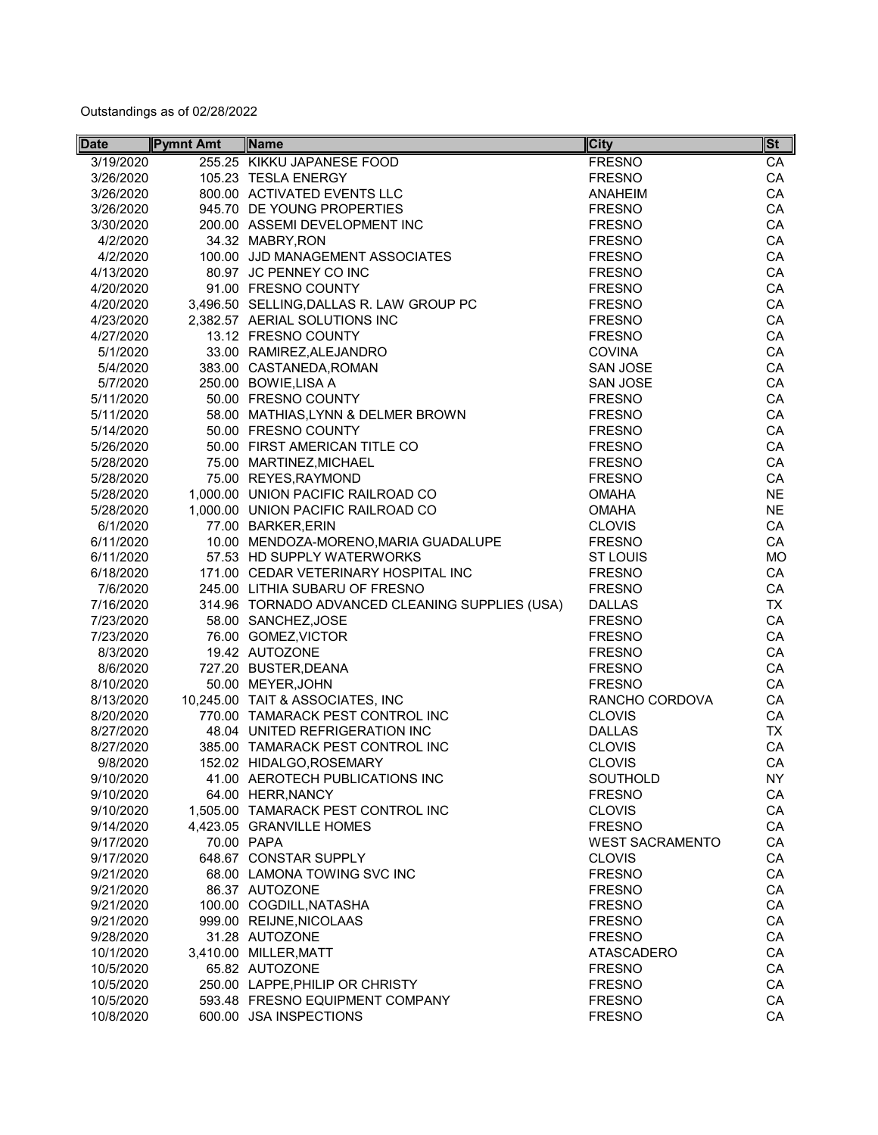| <b>Date</b> | <b>Pymnt Amt</b> | Name                                            | <b>City</b>            | <b>St</b> |
|-------------|------------------|-------------------------------------------------|------------------------|-----------|
| 3/19/2020   |                  | 255.25 KIKKU JAPANESE FOOD                      | <b>FRESNO</b>          | CA        |
| 3/26/2020   |                  | 105.23 TESLA ENERGY                             | <b>FRESNO</b>          | CA        |
| 3/26/2020   |                  | 800.00 ACTIVATED EVENTS LLC                     | <b>ANAHEIM</b>         | CA        |
| 3/26/2020   |                  | 945.70 DE YOUNG PROPERTIES                      | <b>FRESNO</b>          | CA        |
| 3/30/2020   |                  | 200.00 ASSEMI DEVELOPMENT INC                   | <b>FRESNO</b>          | CA        |
| 4/2/2020    |                  | 34.32 MABRY, RON                                | <b>FRESNO</b>          | CA        |
| 4/2/2020    |                  | 100.00 JJD MANAGEMENT ASSOCIATES                | <b>FRESNO</b>          | CA        |
| 4/13/2020   |                  | 80.97 JC PENNEY CO INC                          | <b>FRESNO</b>          | CA        |
| 4/20/2020   |                  | 91.00 FRESNO COUNTY                             | <b>FRESNO</b>          | CA        |
| 4/20/2020   |                  | 3,496.50 SELLING, DALLAS R. LAW GROUP PC        | <b>FRESNO</b>          | CA        |
| 4/23/2020   |                  | 2,382.57 AERIAL SOLUTIONS INC                   | <b>FRESNO</b>          | CA        |
| 4/27/2020   |                  | 13.12 FRESNO COUNTY                             | <b>FRESNO</b>          | CA        |
| 5/1/2020    |                  | 33.00 RAMIREZ, ALEJANDRO                        | <b>COVINA</b>          | CA        |
| 5/4/2020    |                  | 383.00 CASTANEDA, ROMAN                         | <b>SAN JOSE</b>        | CA        |
| 5/7/2020    |                  | 250.00 BOWIE, LISA A                            | <b>SAN JOSE</b>        | CA        |
| 5/11/2020   |                  | 50.00 FRESNO COUNTY                             | <b>FRESNO</b>          | CA        |
| 5/11/2020   |                  | 58.00 MATHIAS, LYNN & DELMER BROWN              | <b>FRESNO</b>          | CA        |
| 5/14/2020   |                  | 50.00 FRESNO COUNTY                             | <b>FRESNO</b>          | CA        |
| 5/26/2020   |                  | 50.00 FIRST AMERICAN TITLE CO                   | <b>FRESNO</b>          | CA        |
| 5/28/2020   |                  | 75.00 MARTINEZ, MICHAEL                         | <b>FRESNO</b>          | CA        |
| 5/28/2020   |                  | 75.00 REYES, RAYMOND                            | <b>FRESNO</b>          | CA        |
| 5/28/2020   |                  | 1,000.00 UNION PACIFIC RAILROAD CO              | <b>OMAHA</b>           | <b>NE</b> |
|             |                  |                                                 | <b>OMAHA</b>           | <b>NE</b> |
| 5/28/2020   |                  | 1,000.00 UNION PACIFIC RAILROAD CO              |                        |           |
| 6/1/2020    |                  | 77.00 BARKER, ERIN                              | <b>CLOVIS</b>          | CA        |
| 6/11/2020   |                  | 10.00 MENDOZA-MORENO, MARIA GUADALUPE           | <b>FRESNO</b>          | CA        |
| 6/11/2020   |                  | 57.53 HD SUPPLY WATERWORKS                      | <b>ST LOUIS</b>        | <b>MO</b> |
| 6/18/2020   |                  | 171.00 CEDAR VETERINARY HOSPITAL INC            | <b>FRESNO</b>          | CA        |
| 7/6/2020    |                  | 245.00 LITHIA SUBARU OF FRESNO                  | <b>FRESNO</b>          | CA        |
| 7/16/2020   |                  | 314.96 TORNADO ADVANCED CLEANING SUPPLIES (USA) | <b>DALLAS</b>          | <b>TX</b> |
| 7/23/2020   |                  | 58.00 SANCHEZ, JOSE                             | <b>FRESNO</b>          | CA        |
| 7/23/2020   |                  | 76.00 GOMEZ, VICTOR                             | <b>FRESNO</b>          | CA        |
| 8/3/2020    |                  | 19.42 AUTOZONE                                  | <b>FRESNO</b>          | CA        |
| 8/6/2020    |                  | 727.20 BUSTER, DEANA                            | <b>FRESNO</b>          | CA        |
| 8/10/2020   |                  | 50.00 MEYER, JOHN                               | <b>FRESNO</b>          | CA        |
| 8/13/2020   |                  | 10,245.00 TAIT & ASSOCIATES, INC                | RANCHO CORDOVA         | CA        |
| 8/20/2020   |                  | 770.00 TAMARACK PEST CONTROL INC                | <b>CLOVIS</b>          | CA        |
| 8/27/2020   |                  | 48.04 UNITED REFRIGERATION INC                  | <b>DALLAS</b>          | <b>TX</b> |
| 8/27/2020   |                  | 385.00 TAMARACK PEST CONTROL INC                | <b>CLOVIS</b>          | CA        |
| 9/8/2020    |                  | 152.02 HIDALGO, ROSEMARY                        | <b>CLOVIS</b>          | CA        |
| 9/10/2020   |                  | 41.00 AEROTECH PUBLICATIONS INC                 | <b>SOUTHOLD</b>        | <b>NY</b> |
| 9/10/2020   |                  | 64.00 HERR, NANCY                               | <b>FRESNO</b>          | CA        |
| 9/10/2020   |                  | 1,505.00 TAMARACK PEST CONTROL INC              | <b>CLOVIS</b>          | CA        |
| 9/14/2020   |                  | 4,423.05 GRANVILLE HOMES                        | <b>FRESNO</b>          | CA        |
| 9/17/2020   |                  | 70.00 PAPA                                      | <b>WEST SACRAMENTO</b> | CA        |
| 9/17/2020   |                  | 648.67 CONSTAR SUPPLY                           | <b>CLOVIS</b>          | CA        |
| 9/21/2020   |                  | 68.00 LAMONA TOWING SVC INC                     | <b>FRESNO</b>          | CA        |
| 9/21/2020   |                  | 86.37 AUTOZONE                                  | <b>FRESNO</b>          | CA        |
| 9/21/2020   |                  | 100.00 COGDILL, NATASHA                         | <b>FRESNO</b>          | CA        |
| 9/21/2020   |                  | 999.00 REIJNE, NICOLAAS                         | <b>FRESNO</b>          | CA        |
| 9/28/2020   |                  | 31.28 AUTOZONE                                  | <b>FRESNO</b>          | CA        |
| 10/1/2020   |                  | 3,410.00 MILLER, MATT                           | <b>ATASCADERO</b>      | CA        |
| 10/5/2020   |                  | 65.82 AUTOZONE                                  | <b>FRESNO</b>          | CA        |
| 10/5/2020   |                  | 250.00 LAPPE, PHILIP OR CHRISTY                 | <b>FRESNO</b>          | CA        |
| 10/5/2020   |                  | 593.48 FRESNO EQUIPMENT COMPANY                 | <b>FRESNO</b>          | CA        |
| 10/8/2020   |                  | 600.00 JSA INSPECTIONS                          | <b>FRESNO</b>          | CA        |
|             |                  |                                                 |                        |           |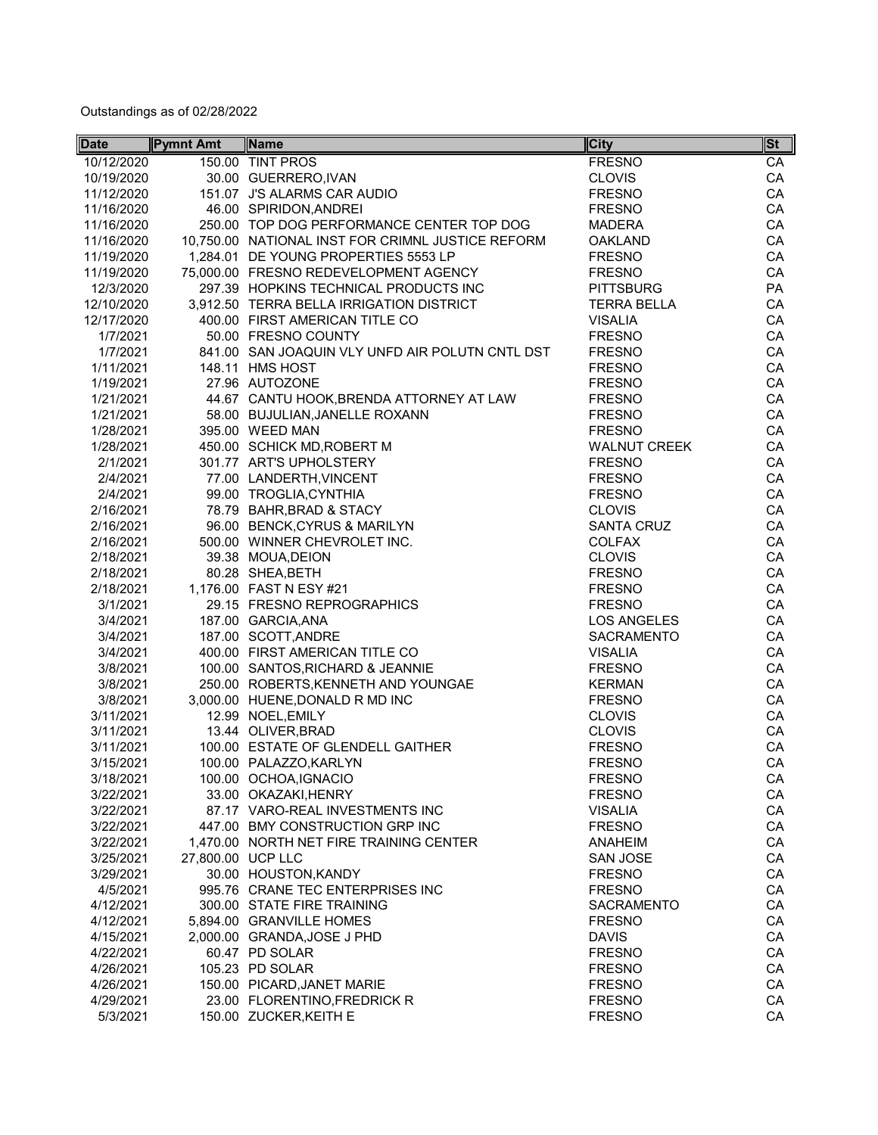| <b>Date</b> | <b>Pymnt Amt</b>  | Name                                              | <b>City</b>         | <b>St</b> |
|-------------|-------------------|---------------------------------------------------|---------------------|-----------|
| 10/12/2020  |                   | 150.00 TINT PROS                                  | <b>FRESNO</b>       | CA        |
| 10/19/2020  |                   | 30.00 GUERRERO, IVAN                              | <b>CLOVIS</b>       | CA        |
| 11/12/2020  |                   | 151.07 J'S ALARMS CAR AUDIO                       | <b>FRESNO</b>       | CA        |
| 11/16/2020  |                   | 46.00 SPIRIDON, ANDREI                            | <b>FRESNO</b>       | CA        |
| 11/16/2020  |                   | 250.00 TOP DOG PERFORMANCE CENTER TOP DOG         | <b>MADERA</b>       | CA        |
| 11/16/2020  |                   | 10,750.00 NATIONAL INST FOR CRIMNL JUSTICE REFORM | <b>OAKLAND</b>      | CA        |
| 11/19/2020  |                   | 1,284.01 DE YOUNG PROPERTIES 5553 LP              | <b>FRESNO</b>       | CA        |
| 11/19/2020  |                   | 75,000.00 FRESNO REDEVELOPMENT AGENCY             | <b>FRESNO</b>       | CA        |
| 12/3/2020   |                   | 297.39 HOPKINS TECHNICAL PRODUCTS INC             | <b>PITTSBURG</b>    | PA        |
| 12/10/2020  |                   | 3,912.50 TERRA BELLA IRRIGATION DISTRICT          | <b>TERRA BELLA</b>  | CA        |
| 12/17/2020  |                   | 400.00 FIRST AMERICAN TITLE CO                    | <b>VISALIA</b>      | CA        |
| 1/7/2021    |                   | 50.00 FRESNO COUNTY                               | <b>FRESNO</b>       | CA        |
| 1/7/2021    |                   | 841.00 SAN JOAQUIN VLY UNFD AIR POLUTN CNTL DST   | <b>FRESNO</b>       | CA        |
| 1/11/2021   |                   | 148.11 HMS HOST                                   | <b>FRESNO</b>       | CA        |
| 1/19/2021   |                   | 27.96 AUTOZONE                                    | <b>FRESNO</b>       | CA        |
| 1/21/2021   |                   | 44.67 CANTU HOOK, BRENDA ATTORNEY AT LAW          | <b>FRESNO</b>       | CA        |
| 1/21/2021   |                   | 58.00 BUJULIAN, JANELLE ROXANN                    | <b>FRESNO</b>       | CA        |
| 1/28/2021   |                   | 395.00 WEED MAN                                   | <b>FRESNO</b>       | CA        |
| 1/28/2021   |                   | 450.00 SCHICK MD, ROBERT M                        | <b>WALNUT CREEK</b> | CA        |
| 2/1/2021    |                   |                                                   |                     |           |
|             |                   | 301.77 ART'S UPHOLSTERY                           | <b>FRESNO</b>       | CA        |
| 2/4/2021    |                   | 77.00 LANDERTH, VINCENT                           | <b>FRESNO</b>       | CA        |
| 2/4/2021    |                   | 99.00 TROGLIA, CYNTHIA                            | <b>FRESNO</b>       | CA        |
| 2/16/2021   |                   | 78.79 BAHR, BRAD & STACY                          | <b>CLOVIS</b>       | CA        |
| 2/16/2021   |                   | 96.00 BENCK, CYRUS & MARILYN                      | <b>SANTA CRUZ</b>   | CA        |
| 2/16/2021   |                   | 500.00 WINNER CHEVROLET INC.                      | <b>COLFAX</b>       | CA        |
| 2/18/2021   |                   | 39.38 MOUA, DEION                                 | <b>CLOVIS</b>       | CA        |
| 2/18/2021   |                   | 80.28 SHEA, BETH                                  | <b>FRESNO</b>       | CA        |
| 2/18/2021   |                   | 1.176.00 FAST N ESY #21                           | <b>FRESNO</b>       | CA        |
| 3/1/2021    |                   | 29.15 FRESNO REPROGRAPHICS                        | <b>FRESNO</b>       | CA        |
| 3/4/2021    |                   | 187.00 GARCIA, ANA                                | <b>LOS ANGELES</b>  | CA        |
| 3/4/2021    |                   | 187.00 SCOTT, ANDRE                               | <b>SACRAMENTO</b>   | CA        |
| 3/4/2021    |                   | 400.00 FIRST AMERICAN TITLE CO                    | <b>VISALIA</b>      | CA        |
| 3/8/2021    |                   | 100.00 SANTOS, RICHARD & JEANNIE                  | <b>FRESNO</b>       | CA        |
| 3/8/2021    |                   | 250.00 ROBERTS, KENNETH AND YOUNGAE               | <b>KERMAN</b>       | CA        |
| 3/8/2021    |                   | 3,000.00 HUENE, DONALD R MD INC                   | <b>FRESNO</b>       | CA        |
| 3/11/2021   |                   | 12.99 NOEL, EMILY                                 | <b>CLOVIS</b>       | CA        |
| 3/11/2021   |                   | 13.44 OLIVER, BRAD                                | <b>CLOVIS</b>       | CA        |
| 3/11/2021   |                   | 100.00 ESTATE OF GLENDELL GAITHER                 | <b>FRESNO</b>       | CA        |
| 3/15/2021   |                   | 100.00 PALAZZO, KARLYN                            | <b>FRESNO</b>       | CA        |
| 3/18/2021   |                   | 100.00 OCHOA, IGNACIO                             | <b>FRESNO</b>       | CA        |
| 3/22/2021   |                   | 33.00 OKAZAKI, HENRY                              | <b>FRESNO</b>       | CA        |
| 3/22/2021   |                   | 87.17 VARO-REAL INVESTMENTS INC                   | <b>VISALIA</b>      | CA        |
| 3/22/2021   |                   | 447.00 BMY CONSTRUCTION GRP INC                   | <b>FRESNO</b>       | CA        |
| 3/22/2021   |                   | 1,470.00 NORTH NET FIRE TRAINING CENTER           | <b>ANAHEIM</b>      | CA        |
| 3/25/2021   | 27,800.00 UCP LLC |                                                   | <b>SAN JOSE</b>     | CA        |
| 3/29/2021   |                   | 30.00 HOUSTON, KANDY                              | <b>FRESNO</b>       | CA        |
| 4/5/2021    |                   | 995.76 CRANE TEC ENTERPRISES INC                  | <b>FRESNO</b>       | CA        |
| 4/12/2021   |                   | 300.00 STATE FIRE TRAINING                        | <b>SACRAMENTO</b>   | CA        |
| 4/12/2021   |                   | 5,894.00 GRANVILLE HOMES                          | <b>FRESNO</b>       | CA        |
| 4/15/2021   |                   | 2,000.00 GRANDA, JOSE J PHD                       | <b>DAVIS</b>        | CA        |
| 4/22/2021   |                   | 60.47 PD SOLAR                                    | <b>FRESNO</b>       | CA        |
| 4/26/2021   |                   | 105.23 PD SOLAR                                   | <b>FRESNO</b>       | CA        |
| 4/26/2021   |                   | 150.00 PICARD, JANET MARIE                        | <b>FRESNO</b>       | CA        |
| 4/29/2021   |                   | 23.00 FLORENTINO, FREDRICK R                      | <b>FRESNO</b>       | CA        |
| 5/3/2021    |                   | 150.00 ZUCKER, KEITH E                            | <b>FRESNO</b>       | CA        |